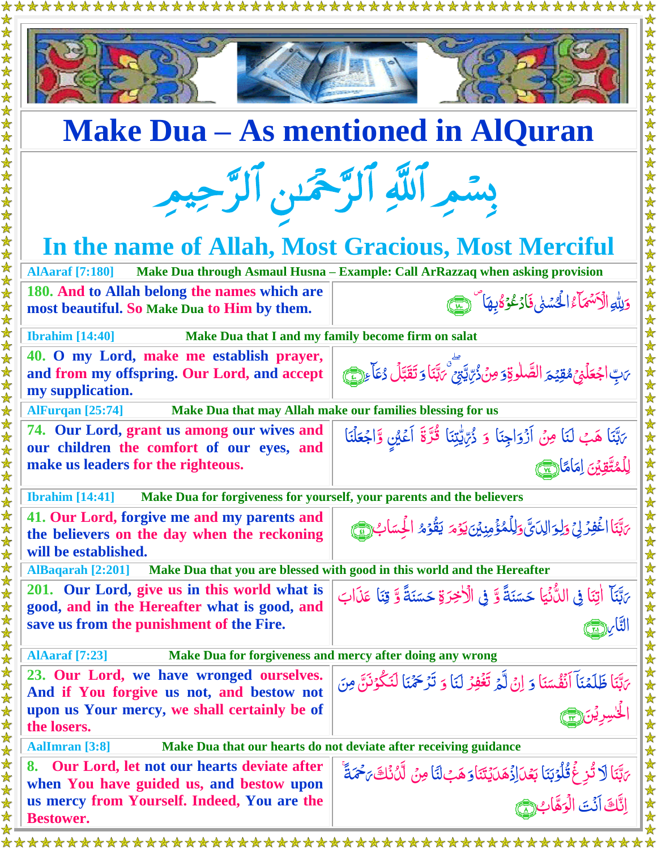| <b>Make Dua – As mentioned in AlQuran</b>                                                                             |                                                                                                                                           |  |
|-----------------------------------------------------------------------------------------------------------------------|-------------------------------------------------------------------------------------------------------------------------------------------|--|
| بِسْمِ ٱللَّهِ ٱلرَّحْمَنِ ٱلرَّحِيمِ                                                                                 |                                                                                                                                           |  |
| In the name of Allah, Most Gracious, Most Merciful                                                                    |                                                                                                                                           |  |
| <b>AlAaraf</b> [7:180]<br>180. And to Allah belong the names which are<br>most beautiful. So Make Dua to Him by them. | Make Dua through Asmaul Husna - Example: Call ArRazzaq when asking provision<br>وَلِلَّهِ الْأَسْهَاءُ الْحُسْنِي فَأْدَعُوۡ كُابِهَا ۗ ﴿ |  |
| <b>Ibrahim</b> [14:40]<br>Make Dua that I and my family become firm on salat                                          |                                                                                                                                           |  |
| 40. O my Lord, make me establish prayer,<br>and from my offspring. Our Lord, and accept<br>my supplication.           | يَابِّ اجْعَلَنِيَ مُقِيَّحَ الصَّلٰوقِ وَمِنْ ذُرِّيِّتِيِّ يَهْتَنَ وَ تَقَبَّلُ دُعَاءِ لِيَّ                                          |  |
| Make Dua that may Allah make our families blessing for us<br><b>AlFurqan</b> [25:74]                                  |                                                                                                                                           |  |
| 74. Our Lord, grant us among our wives and<br>our children the comfort of our eyes, and                               | يَهْبَنَا هَبْ لَنَا مِنْ أَزْوَاجِنَا وَ ذُرِّيَّتِيْنَا قُرَّةَ أَعْيُنِ وَّاجْعَلْنَا                                                  |  |
| make us leaders for the righteous.                                                                                    | لِلْمُتَّقِينَ اِمَامًا                                                                                                                   |  |
| <b>Ibrahim</b> [14:41]<br>Make Dua for forgiveness for yourself, your parents and the believers                       |                                                                                                                                           |  |
| 41. Our Lord, forgive me and my parents and<br>the believers on the day when the reckoning<br>will be established.    | بَهِّنَا اغْفِرُ لِيَ وَلِوَالِدَيَّ وَلِلْمُؤْمِنِيْنَ يَوْمَ يَقُوْمُ الْحِسَابِ (١٤)                                                   |  |
| Make Dua that you are blessed with good in this world and the Hereafter<br><b>AlBaqarah</b> [2:201]                   |                                                                                                                                           |  |
| 201. Our Lord, give us in this world what is<br>good, and in the Hereafter what is good, and                          | يَّبَنَآ اٰتِنَا فِي اللُّأْنِيَا حَسَنَةً وَّ فِي الْأَخِرَةِ حَسَنَةً وَّ قِنَا عَذَابَ                                                 |  |
| save us from the punishment of the Fire.                                                                              |                                                                                                                                           |  |
| <b>AlAaraf</b> [7:23]                                                                                                 | Make Dua for forgiveness and mercy after doing any wrong                                                                                  |  |
| 23. Our Lord, we have wronged ourselves.                                                                              | يَابَنَا ظَلَمْنَا اَنْفُسَنَا وَ إِنْ لَّمَ تَغْفِرُ لَنَا وَ تَرْحَمْنَا لَنَكُوْنَنَّ مِنَ                                             |  |
| And if You forgive us not, and bestow not<br>upon us Your mercy, we shall certainly be of                             |                                                                                                                                           |  |
| the losers.                                                                                                           |                                                                                                                                           |  |
| <b>AalImran</b> [3:8]<br>Make Dua that our hearts do not deviate after receiving guidance                             |                                                                                                                                           |  |
| Our Lord, let not our hearts deviate after<br>8.<br>when You have guided us, and bestow upon                          | ىَبَّنَا لَا تُزِغَ قُلُوۡبَنَا بَعۡدَالِزۡهَدَايَتَنَاوَهَبۡلَنَا مِنۡ لَّدُنۡكَ مَحۡمَةً ۚ                                              |  |
| us mercy from Yourself. Indeed, You are the                                                                           | انَّكَ أَنۡتَ الۡوَهَّابُ                                                                                                                 |  |
| <b>Bestower.</b>                                                                                                      |                                                                                                                                           |  |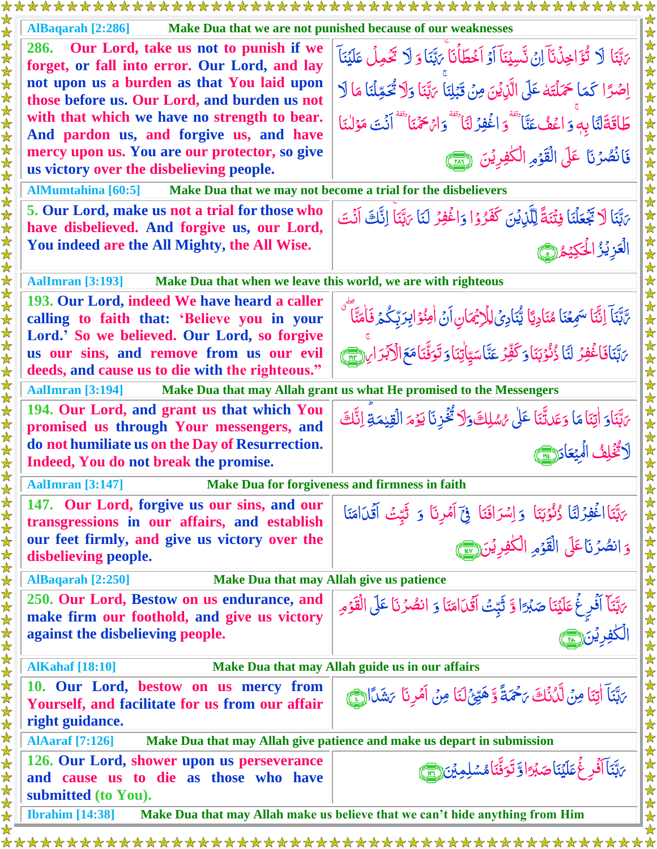|                           | *******************<br>**********************                                                 |                                                                                                                                             |  |
|---------------------------|-----------------------------------------------------------------------------------------------|---------------------------------------------------------------------------------------------------------------------------------------------|--|
| 女女                        | AlBaqarah [2:286]<br>Make Dua that we are not punished because of our weaknesses              |                                                                                                                                             |  |
| 女女女女                      | 286. Our Lord, take us not to punish if we<br>forget, or fall into error. Our Lord, and lay   | يَّبَنَا لَا تُؤَاخِذُنَآ اِنُ تَسِيۡنَآ اَوۡ اَخۡطَأۡنَآ يَهَّنَا وَ لَا تَحۡمِلۡ عَلَيۡنَآ                                                |  |
|                           | not upon us a burden as that You laid upon<br>those before us. Our Lord, and burden us not    | اِصْرًا كَمَا حَمَلْتَهُ عَلَى الَّذِيْنَ مِنْ قَبْلِنَا يَهَّنَا وَلَا تُحَمِّلُنَا مَا لَا                                                |  |
|                           | with that which we have no strength to bear.<br>And pardon us, and forgive us, and have       | طَاقَةَلَنَا بِهِ وَ اعۡفُ عَنَّا تَفۡوَ اغۡفِرۡ لَنَا تَفۡفَوۡ لَا الۡجَمۡمَا تَفۡفَا لَنۡتَ مَوۡلَلنَا                                    |  |
| 女女女女女女女女女女                | mercy upon us. You are our protector, so give<br>us victory over the disbelieving people.     | فَانْصُرُنَا عَلَى الْقَوْمِ الْكَفِرِيْنَ ( ٢                                                                                              |  |
|                           | <b>AlMumtahina</b> [60:5]                                                                     | Make Dua that we may not become a trial for the disbelievers                                                                                |  |
|                           | 5. Our Lord, make us not a trial for those who                                                | بَهَّنَا لَا تَجْعَلْنَا فِتْنَةً لِلَّذِيْنَ كَفَرُوْا وَاغْفِرُ لَنَا بَهَّنَا إِنَّكَ أَنْتَ                                             |  |
|                           | have disbelieved. And forgive us, our Lord,                                                   |                                                                                                                                             |  |
| 女女女女女女女                   | You indeed are the All Mighty, the All Wise.                                                  | العزيز الحكيد (٢                                                                                                                            |  |
|                           | Make Dua that when we leave this world, we are with righteous<br><b>AalImran</b> [3:193]      |                                                                                                                                             |  |
|                           | 193. Our Lord, indeed We have heard a caller                                                  |                                                                                                                                             |  |
|                           | calling to faith that: 'Believe you in your                                                   | َّ تَبَّنَآ اِنَّنَا سَمِعْنَا مُنَادِيًا يُّنَادِيُ لِلْإِيْمَانِ اَنُ اٰمِنُوۡ ابِرَبِّكُمۡ فَاٰمَنَّا ۖ                                  |  |
| 女女女女                      | Lord.' So we believed. Our Lord, so forgive                                                   | بَّبَّنَافَاغُفِرُ لَنَا ذُنُوۡبَنَاوَكَٰفِّرۡ عَنَّاسَيِّاٰتِنَاوَ تَوَفَّنَامَعَ الْآبَرَامِ (٢٣)                                         |  |
| $\bigstar$                | us our sins, and remove from us our evil<br>deeds, and cause us to die with the righteous."   |                                                                                                                                             |  |
| 女女                        | <b>AalImran</b> [3:194]                                                                       | Make Dua that may Allah grant us what He promised to the Messengers                                                                         |  |
| $\bigstar$                | 194. Our Lord, and grant us that which You                                                    | يَّبَنَاوَ اٰتِنَامَا وَعَدَّتَنَا عَلَى مُسْلِكَوَلَا تُخُزِنَا يَوۡمَ الۡقِيۡمَةِ اِنَّكَ                                                 |  |
| 女女女                       | promised us through Your messengers, and                                                      |                                                                                                                                             |  |
| $\bigstar$                | do not humiliate us on the Day of Resurrection.<br>Indeed, You do not break the promise.      | لَاتُّخْلِفُ الْمِيْعَادَ لَاسَ                                                                                                             |  |
|                           | <b>AalImran</b> [3:147]                                                                       | Make Dua for forgiveness and firmness in faith                                                                                              |  |
| 女女女女女女女女女女女女女女女女女女女女女女女女女 | 147. Our Lord, forgive us our sins, and our                                                   |                                                                                                                                             |  |
|                           | transgressions in our affairs, and establish<br>our feet firmly, and give us victory over the | ىَّتَنَااغُفِرَلَنَا ذُنُوَبَنَا وَاِسْرَافَنَا فِيَّ اَمْرِنَا وَ ثَبِّتْ اَقْدَامَنَا<br>وَانصُرۡنَاعَلَى الۡقَوۡمِ الۡكٰفِرِيۡنَ۞ لَهِيَ |  |
|                           | disbelieving people.                                                                          |                                                                                                                                             |  |
|                           | <b>AlBaqarah</b> [2:250]<br>Make Dua that may Allah give us patience                          |                                                                                                                                             |  |
|                           | 250. Our Lord, Bestow on us endurance, and                                                    |                                                                                                                                             |  |
|                           | make firm our foothold, and give us victory                                                   | بَابَّنَاً أَفْرِغُ عَلَيْنَا صَبْرًا وَّ ثَبِّتُ أَقَّدَامَنَا وَ انصُرُنَا عَلَى الْقَوْمِ<br>الْكٰفِرِيْنَ هُمَّ                         |  |
|                           | against the disbelieving people.                                                              |                                                                                                                                             |  |
|                           | <b>AlKahaf</b> [18:10]                                                                        | Make Dua that may Allah guide us in our affairs                                                                                             |  |
|                           | 10. Our Lord, bestow on us mercy from                                                         | يَّتِنَآ اٰتِنَا مِنۡ لَّكُنۡكَ يَحْمَةً وَّ هَيِّئۡكَ اِ مِنۡ اَمۡرِنَا يَشَدَّانَ ۖ                                                       |  |
|                           | Yourself, and facilitate for us from our affair                                               |                                                                                                                                             |  |
|                           | right guidance.                                                                               |                                                                                                                                             |  |
|                           | <b>AlAaraf</b> [7:126]                                                                        | Make Dua that may Allah give patience and make us depart in submission                                                                      |  |
|                           | 126. Our Lord, shower upon us perseverance<br>and cause us to die as those who have           | بَابَّنَا آَفُرٍ غُمَلَيۡنَاصَبۡرَاوَّ تَوَفَّنَامُسۡلِمِیۡنَ (٢                                                                            |  |
|                           | submitted (to You).                                                                           |                                                                                                                                             |  |
| $\bigstar$                | <b>Ibrahim</b> [14:38]                                                                        | Make Dua that may Allah make us believe that we can't hide anything from Him                                                                |  |
| ☆                         |                                                                                               |                                                                                                                                             |  |